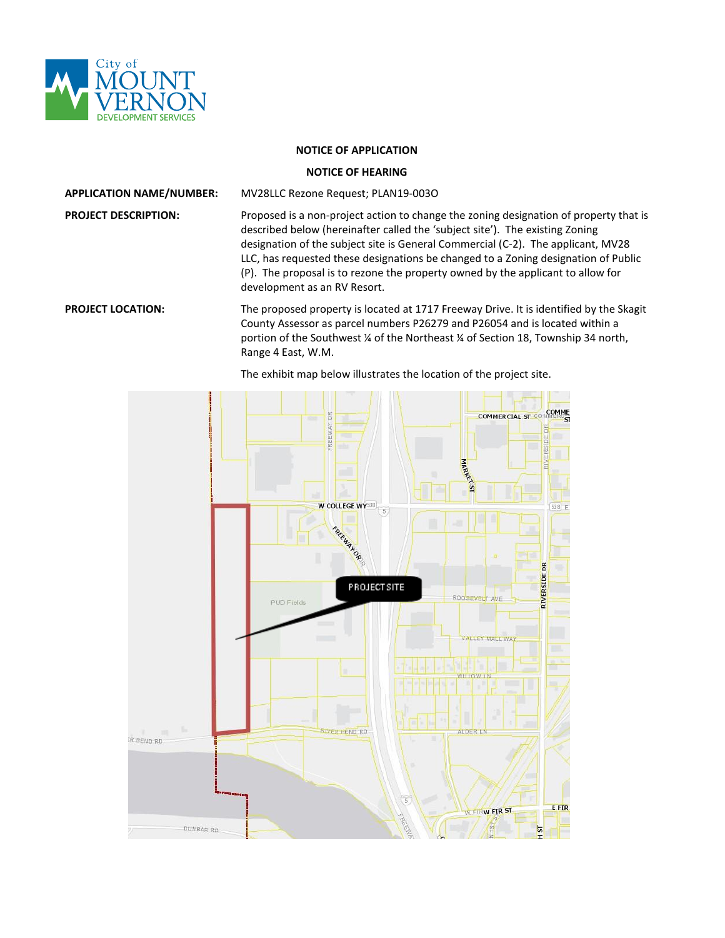

## **NOTICE OF APPLICATION**

## **NOTICE OF HEARING**

**APPLICATION NAME/NUMBER:** MV28LLC Rezone Request; PLAN19-003O

**PROJECT DESCRIPTION:** Proposed is a non-project action to change the zoning designation of property that is described below (hereinafter called the 'subject site'). The existing Zoning designation of the subject site is General Commercial (C-2). The applicant, MV28 LLC, has requested these designations be changed to a Zoning designation of Public (P). The proposal is to rezone the property owned by the applicant to allow for development as an RV Resort.

**PROJECT LOCATION:** The proposed property is located at 1717 Freeway Drive. It is identified by the Skagit County Assessor as parcel numbers P26279 and P26054 and is located within a portion of the Southwest ¼ of the Northeast ¼ of Section 18, Township 34 north, Range 4 East, W.M.



The exhibit map below illustrates the location of the project site.